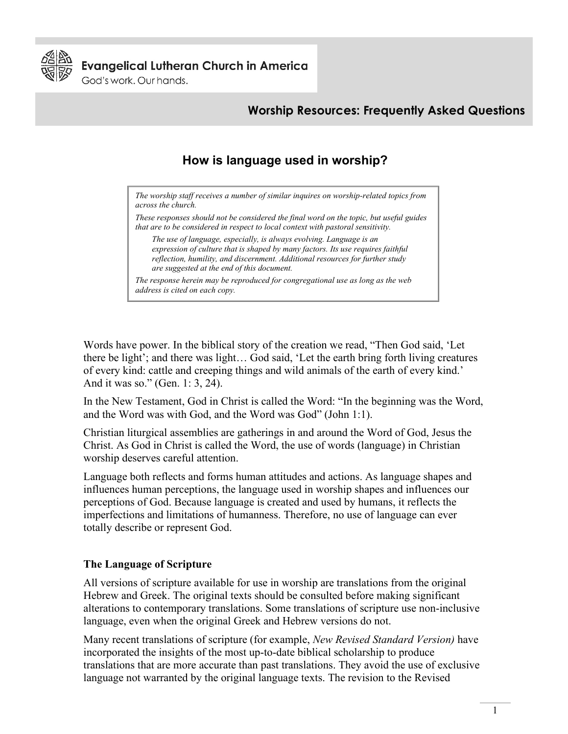

**Evangelical Lutheran Church in America** 

God's work. Our hands.

# **Worship Resources: Frequently Asked Questions**

# **How is language used in worship?**

*The worship staff receives a number of similar inquires on worship-related topics from across the church.* 

*These responses should not be considered the final word on the topic, but useful guides that are to be considered in respect to local context with pastoral sensitivity.* 

*The use of language, especially, is always evolving. Language is an expression of culture that is shaped by many factors. Its use requires faithful reflection, humility, and discernment. Additional resources for further study are suggested at the end of this document.*

*The response herein may be reproduced for congregational use as long as the web address is cited on each copy.* 

Words have power. In the biblical story of the creation we read, "Then God said, 'Let there be light'; and there was light… God said, 'Let the earth bring forth living creatures of every kind: cattle and creeping things and wild animals of the earth of every kind.' And it was so." (Gen. 1: 3, 24).

In the New Testament, God in Christ is called the Word: "In the beginning was the Word, and the Word was with God, and the Word was God" (John 1:1).

Christian liturgical assemblies are gatherings in and around the Word of God, Jesus the Christ. As God in Christ is called the Word, the use of words (language) in Christian worship deserves careful attention.

Language both reflects and forms human attitudes and actions. As language shapes and influences human perceptions, the language used in worship shapes and influences our perceptions of God. Because language is created and used by humans, it reflects the imperfections and limitations of humanness. Therefore, no use of language can ever totally describe or represent God.

### **The Language of Scripture**

All versions of scripture available for use in worship are translations from the original Hebrew and Greek. The original texts should be consulted before making significant alterations to contemporary translations. Some translations of scripture use non-inclusive language, even when the original Greek and Hebrew versions do not.

Many recent translations of scripture (for example, *New Revised Standard Version)* have incorporated the insights of the most up-to-date biblical scholarship to produce translations that are more accurate than past translations. They avoid the use of exclusive language not warranted by the original language texts. The revision to the Revised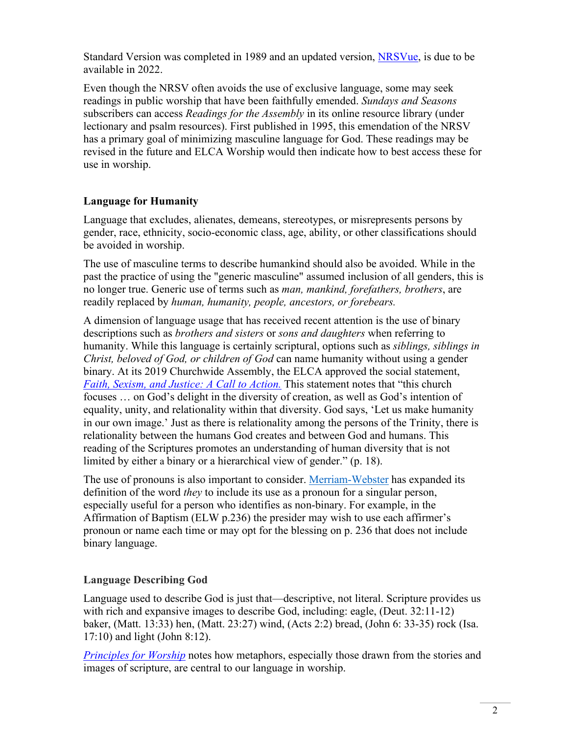Standard Version was completed in 1989 and an updated version, [NRSVue,](https://friendshippress.org/nrsv-updated-edition/) is due to be available in 2022.

Even though the NRSV often avoids the use of exclusive language, some may seek readings in public worship that have been faithfully emended. *Sundays and Seasons* subscribers can access *Readings for the Assembly* in its online resource library (under lectionary and psalm resources). First published in 1995, this emendation of the NRSV has a primary goal of minimizing masculine language for God. These readings may be revised in the future and ELCA Worship would then indicate how to best access these for use in worship.

# **Language for Humanity**

Language that excludes, alienates, demeans, stereotypes, or misrepresents persons by gender, race, ethnicity, socio-economic class, age, ability, or other classifications should be avoided in worship.

The use of masculine terms to describe humankind should also be avoided. While in the past the practice of using the "generic masculine" assumed inclusion of all genders, this is no longer true. Generic use of terms such as *man, mankind, forefathers, brothers*, are readily replaced by *human, humanity, people, ancestors, or forebears.*

A dimension of language usage that has received recent attention is the use of binary descriptions such as *brothers and sisters* or *sons and daughters* when referring to humanity. While this language is certainly scriptural, options such as *siblings, siblings in Christ, beloved of God, or children of God* can name humanity without using a gender binary. At its 2019 Churchwide Assembly, the ELCA approved the social statement, *[Faith, Sexism, and Justice: A Call to Action.](https://www.elca.org/Faith/Faith-and-Society/Social-Statements/Sexism)* This statement notes that "this church focuses … on God's delight in the diversity of creation, as well as God's intention of equality, unity, and relationality within that diversity. God says, 'Let us make humanity in our own image.' Just as there is relationality among the persons of the Trinity, there is relationality between the humans God creates and between God and humans. This reading of the Scriptures promotes an understanding of human diversity that is not limited by either a binary or a hierarchical view of gender." (p. 18).

The use of pronouns is also important to consider. [Merriam-Webster](https://www.washingtonpost.com/dc-md-va/2019/09/17/merriam-webster-adds-non-binary-prounoun-they-dictionary/) has expanded its definition of the word *they* to include its use as a pronoun for a singular person, especially useful for a person who identifies as non-binary. For example, in the Affirmation of Baptism (ELW p.236) the presider may wish to use each affirmer's pronoun or name each time or may opt for the blessing on p. 236 that does not include binary language.

# **Language Describing God**

Language used to describe God is just that—descriptive, not literal. Scripture provides us with rich and expansive images to describe God, including: eagle, (Deut. 32:11-12) baker, (Matt. 13:33) hen, (Matt. 23:27) wind, (Acts 2:2) bread, (John 6: 33-35) rock (Isa. 17:10) and light (John 8:12).

*[Principles for Worship](http://download.elca.org/ELCA%20Resource%20Repository/Principles_for_Worship.pdf)* notes how metaphors, especially those drawn from the stories and images of scripture, are central to our language in worship.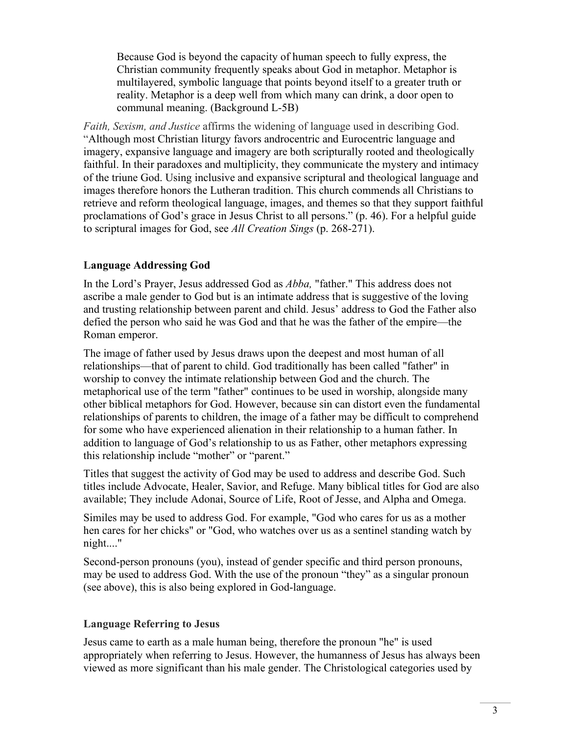Because God is beyond the capacity of human speech to fully express, the Christian community frequently speaks about God in metaphor. Metaphor is multilayered, symbolic language that points beyond itself to a greater truth or reality. Metaphor is a deep well from which many can drink, a door open to communal meaning. (Background L-5B)

*Faith, Sexism, and Justice* affirms the widening of language used in describing God. "Although most Christian liturgy favors androcentric and Eurocentric language and imagery, expansive language and imagery are both scripturally rooted and theologically faithful. In their paradoxes and multiplicity, they communicate the mystery and intimacy of the triune God. Using inclusive and expansive scriptural and theological language and images therefore honors the Lutheran tradition. This church commends all Christians to retrieve and reform theological language, images, and themes so that they support faithful proclamations of God's grace in Jesus Christ to all persons." (p. 46). For a helpful guide to scriptural images for God, see *All Creation Sings* (p. 268-271).

### **Language Addressing God**

In the Lord's Prayer, Jesus addressed God as *Abba,* "father." This address does not ascribe a male gender to God but is an intimate address that is suggestive of the loving and trusting relationship between parent and child. Jesus' address to God the Father also defied the person who said he was God and that he was the father of the empire—the Roman emperor.

The image of father used by Jesus draws upon the deepest and most human of all relationships—that of parent to child. God traditionally has been called "father" in worship to convey the intimate relationship between God and the church. The metaphorical use of the term "father" continues to be used in worship, alongside many other biblical metaphors for God. However, because sin can distort even the fundamental relationships of parents to children, the image of a father may be difficult to comprehend for some who have experienced alienation in their relationship to a human father. In addition to language of God's relationship to us as Father, other metaphors expressing this relationship include "mother" or "parent."

Titles that suggest the activity of God may be used to address and describe God. Such titles include Advocate, Healer, Savior, and Refuge. Many biblical titles for God are also available; They include Adonai, Source of Life, Root of Jesse, and Alpha and Omega.

Similes may be used to address God. For example, "God who cares for us as a mother hen cares for her chicks" or "God, who watches over us as a sentinel standing watch by night...."

Second-person pronouns (you), instead of gender specific and third person pronouns, may be used to address God. With the use of the pronoun "they" as a singular pronoun (see above), this is also being explored in God-language.

### **Language Referring to Jesus**

Jesus came to earth as a male human being, therefore the pronoun "he" is used appropriately when referring to Jesus. However, the humanness of Jesus has always been viewed as more significant than his male gender. The Christological categories used by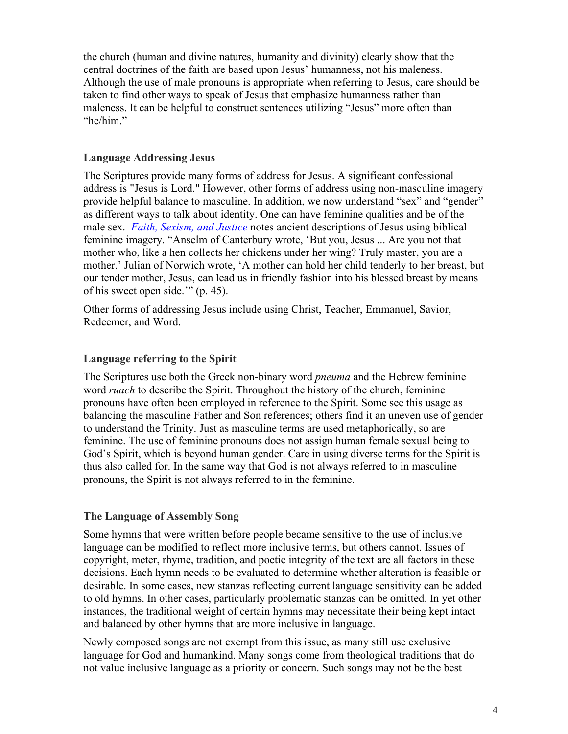the church (human and divine natures, humanity and divinity) clearly show that the central doctrines of the faith are based upon Jesus' humanness, not his maleness. Although the use of male pronouns is appropriate when referring to Jesus, care should be taken to find other ways to speak of Jesus that emphasize humanness rather than maleness. It can be helpful to construct sentences utilizing "Jesus" more often than "he/him."

#### **Language Addressing Jesus**

The Scriptures provide many forms of address for Jesus. A significant confessional address is "Jesus is Lord." However, other forms of address using non-masculine imagery provide helpful balance to masculine. In addition, we now understand "sex" and "gender" as different ways to talk about identity. One can have feminine qualities and be of the male sex. *[Faith, Sexism, and Justice](https://www.elca.org/Faith/Faith-and-Society/Social-Statements/Sexism)* notes ancient descriptions of Jesus using biblical feminine imagery. "Anselm of Canterbury wrote, 'But you, Jesus ... Are you not that mother who, like a hen collects her chickens under her wing? Truly master, you are a mother.' Julian of Norwich wrote, 'A mother can hold her child tenderly to her breast, but our tender mother, Jesus, can lead us in friendly fashion into his blessed breast by means of his sweet open side.'" (p. 45).

Other forms of addressing Jesus include using Christ, Teacher, Emmanuel, Savior, Redeemer, and Word.

#### **Language referring to the Spirit**

The Scriptures use both the Greek non-binary word *pneuma* and the Hebrew feminine word *ruach* to describe the Spirit. Throughout the history of the church, feminine pronouns have often been employed in reference to the Spirit. Some see this usage as balancing the masculine Father and Son references; others find it an uneven use of gender to understand the Trinity. Just as masculine terms are used metaphorically, so are feminine. The use of feminine pronouns does not assign human female sexual being to God's Spirit, which is beyond human gender. Care in using diverse terms for the Spirit is thus also called for. In the same way that God is not always referred to in masculine pronouns, the Spirit is not always referred to in the feminine.

### **The Language of Assembly Song**

Some hymns that were written before people became sensitive to the use of inclusive language can be modified to reflect more inclusive terms, but others cannot. Issues of copyright, meter, rhyme, tradition, and poetic integrity of the text are all factors in these decisions. Each hymn needs to be evaluated to determine whether alteration is feasible or desirable. In some cases, new stanzas reflecting current language sensitivity can be added to old hymns. In other cases, particularly problematic stanzas can be omitted. In yet other instances, the traditional weight of certain hymns may necessitate their being kept intact and balanced by other hymns that are more inclusive in language.

Newly composed songs are not exempt from this issue, as many still use exclusive language for God and humankind. Many songs come from theological traditions that do not value inclusive language as a priority or concern. Such songs may not be the best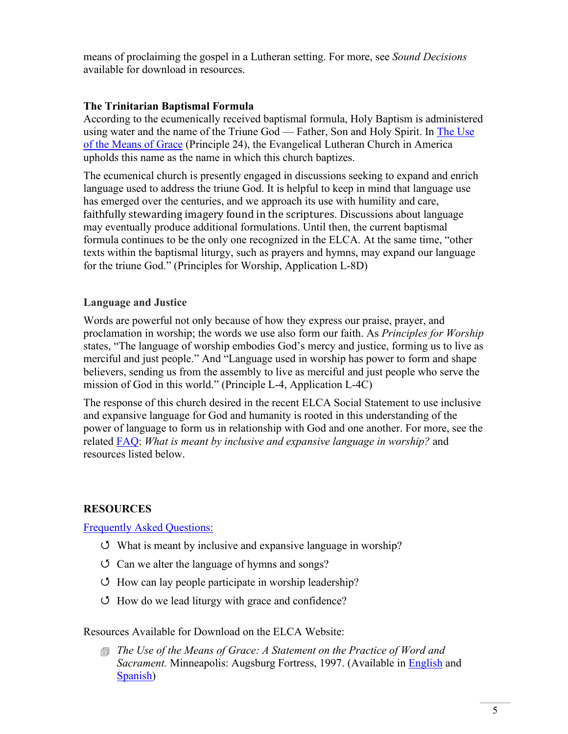means of proclaiming the gospel in a Lutheran setting. For more, see *Sound Decisions*  available for download in resources.

### **The Trinitarian Baptismal Formula**

According to the ecumenically received baptismal formula, Holy Baptism is administered using water and the name of the Triune God — Father, Son and Holy Spirit. In [The Use](https://download.elca.org/ELCA%20Resource%20Repository/The_Use_Of_The_Means_Of_Grace.pdf?_ga=2.10007989.1091390334.1626289586-777330467.1626289586)  [of the Means of Grace](https://download.elca.org/ELCA%20Resource%20Repository/The_Use_Of_The_Means_Of_Grace.pdf?_ga=2.10007989.1091390334.1626289586-777330467.1626289586) (Principle 24), the Evangelical Lutheran Church in America upholds this name as the name in which this church baptizes.

The ecumenical church is presently engaged in discussions seeking to expand and enrich language used to address the triune God. It is helpful to keep in mind that language use has emerged over the centuries, and we approach its use with humility and care, faithfully stewarding imagery found in the scriptures. Discussions about language may eventually produce additional formulations. Until then, the current baptismal formula continues to be the only one recognized in the ELCA. At the same time, "other texts within the baptismal liturgy, such as prayers and hymns, may expand our language for the triune God." (Principles for Worship, Application L-8D)

#### **Language and Justice**

Words are powerful not only because of how they express our praise, prayer, and proclamation in worship; the words we use also form our faith. As *Principles for Worship* states, "The language of worship embodies God's mercy and justice, forming us to live as merciful and just people." And "Language used in worship has power to form and shape believers, sending us from the assembly to live as merciful and just people who serve the mission of God in this world." (Principle L-4, Application L-4C)

The response of this church desired in the recent ELCA Social Statement to use inclusive and expansive language for God and humanity is rooted in this understanding of the power of language to form us in relationship with God and one another. For more, see the related [FAQ:](http://www.elca.org/worshipfaq) *What is meant by inclusive and expansive language in worship?* and resources listed below.

### **RESOURCES**

[Frequently Asked Questions:](http://www.elca.org/worshipfaq)

- What is meant by inclusive and expansive language in worship?
- $\circ$  Can we alter the language of hymns and songs?
- $\circ$  How can lay people participate in worship leadership?
- How do we lead liturgy with grace and confidence?

Resources Available for Download on the ELCA Website:

 *The Use of the Means of Grace: A Statement on the Practice of Word and Sacrament.* Minneapolis: Augsburg Fortress, 1997. (Available in [English](https://download.elca.org/ELCA%20Resource%20Repository/The_Use_Of_The_Means_Of_Grace.pdf) and [Spanish\)](https://download.elca.org/ELCA%20Resource%20Repository/El_Uso_De_Los_Medios_De_Gracia.pdf)